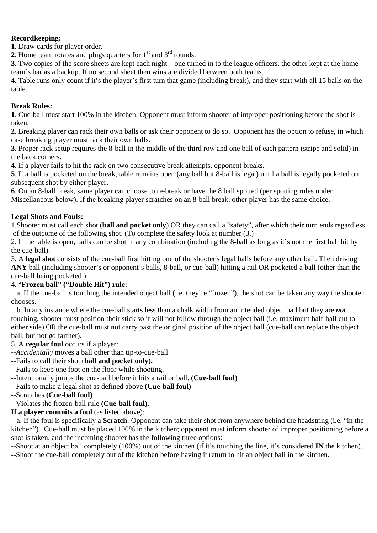#### **Recordkeeping:**

**1**. Draw cards for player order.

**2**. Home team rotates and plugs quarters for  $1<sup>st</sup>$  and  $3<sup>rd</sup>$  rounds.

**3**. Two copies of the score sheets are kept each night—one turned in to the league officers, the other kept at the hometeam's bar as a backup. If no second sheet then wins are divided between both teams.

**4.** Table runs only count if it's the player's first turn that game (including break), and they start with all 15 balls on the table.

### **Break Rules:**

**1**. Cue-ball must start 100% in the kitchen. Opponent must inform shooter of improper positioning before the shot is taken.

**2**. Breaking player can rack their own balls or ask their opponent to do so. Opponent has the option to refuse, in which case breaking player must rack their own balls.

**3**. Proper rack setup requires the 8-ball in the middle of the third row and one ball of each pattern (stripe and solid) in the back corners.

**4**. If a player fails to hit the rack on two consecutive break attempts, opponent breaks.

**5**. If a ball is pocketed on the break, table remains open (any ball but 8-ball is legal) until a ball is legally pocketed on subsequent shot by either player.

**6**. On an 8-ball break, same player can choose to re-break or have the 8 ball spotted (per spotting rules under Miscellaneous below). If the breaking player scratches on an 8-ball break, other player has the same choice.

#### **Legal Shots and Fouls:**

1.Shooter must call each shot (**ball and pocket only**) OR they can call a "safety", after which their turn ends regardless of the outcome of the following shot. (To complete the safety look at number (3.)

2. If the table is open, balls can be shot in any combination (including the 8**-**ball as long as it's not the first ball hit by the cue-ball).

3. A **legal shot** consists of the cue-ball first hitting one of the shooter's legal balls before any other ball. Then driving **ANY** ball (including shooter's or opponent's balls, 8-ball, or cue-ball) hitting a rail OR pocketed a ball (other than the cue-ball being pocketed.)

# 4. "**Frozen ball" ("Double Hit") rule:**

a. If the cue-ball is touching the intended object ball (i.e. they're "frozen"), the shot can be taken any way the shooter chooses.

b. In any instance where the cue-ball starts less than a chalk width from an intended object ball but they are *not* touching, shooter must position their stick so it will not follow through the object ball (i.e. maximum half-ball cut to either side) OR the cue-ball must not carry past the original position of the object ball (cue-ball can replace the object ball, but not go farther).

# 5. A **regular foul** occurs if a player:

--*Accidentally* moves a ball other than tip-to-cue-ball

- --Fails to call their shot (**ball and pocket only).**
- --Fails to keep one foot on the floor while shooting.
- --Intentionally jumps the cue-ball before it hits a rail or ball. **(Cue-ball foul)**
- --Fails to make a legal shot as defined above **(Cue-ball foul)**
- --Scratches **(Cue-ball foul)**

# --Violates the frozen-ball rule **(Cue-ball foul)**.

**If a player commits a foul** (as listed above):

a. If the foul is specifically a **Scratch**: Opponent can take their shot from anywhere behind the headstring (i.e. "in the kitchen"). Cue-ball must be placed 100% in the kitchen; opponent must inform shooter of improper positioning before a shot is taken, and the incoming shooter has the following three options:

--Shoot at an object ball completely (100%) out of the kitchen (if it's touching the line, it's considered **IN** the kitchen). --Shoot the cue-ball completely out of the kitchen before having it return to hit an object ball in the kitchen.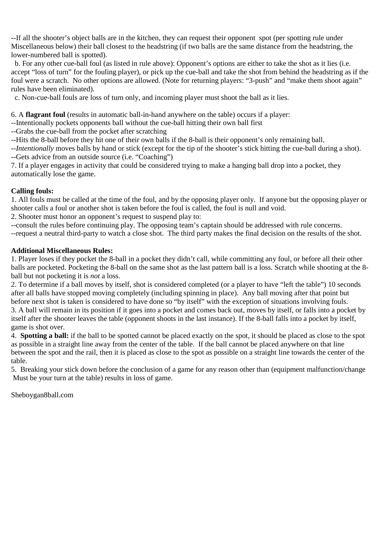--If all the shooter's object balls are in the kitchen, they can request their opponent spot (per spotting rule under Miscellaneous below) their ball closest to the headstring (if two balls are the same distance from the headstring, the lower-numbered ball is spotted).

 b. For any other cue-ball foul (as listed in rule above): Opponent's options are either to take the shot as it lies (i.e. accept "loss of turn" for the fouling player), or pick up the cue-ball and take the shot from behind the headstring as if the foul were a scratch. No other options are allowed. (Note for returning players: "3-push" and "make them shoot again" rules have been eliminated).

c. Non-cue-ball fouls are loss of turn only, and incoming player must shoot the ball as it lies.

6. A **flagrant foul** (results in automatic ball-in-hand anywhere on the table) occurs if a player:

--Intentionally pockets opponents ball without the cue-ball hitting their own ball first

--Grabs the cue-ball from the pocket after scratching

--Hits the 8-ball before they hit one of their own balls if the 8-ball is their opponent's only remaining ball.

--*Intentionally* moves balls by hand or stick (except for the tip of the shooter's stick hitting the cue-ball during a shot). --Gets advice from an outside source (i.e. "Coaching")

7. If a player engages in activity that could be considered trying to make a hanging ball drop into a pocket, they automatically lose the game.

# **Calling fouls:**

1. All fouls must be called at the time of the foul, and by the opposing player only. If anyone but the opposing player or shooter calls a foul or another shot is taken before the foul is called, the foul is null and void.

2. Shooter must honor an opponent's request to suspend play to:

--consult the rules before continuing play. The opposing team's captain should be addressed with rule concerns. --request a neutral third-party to watch a close shot. The third party makes the final decision on the results of the shot.

# **Additional Miscellaneous Rules:**

1. Player loses if they pocket the 8-ball in a pocket they didn't call, while committing any foul, or before all their other balls are pocketed. Pocketing the 8-ball on the same shot as the last pattern ball is a loss. Scratch while shooting at the 8 ball but not pocketing it is *not* a loss.

2. To determine if a ball moves by itself, shot is considered completed (or a player to have "left the table") 10 seconds after all balls have stopped moving completely (including spinning in place). Any ball moving after that point but before next shot is taken is considered to have done so "by itself" with the exception of situations involving fouls. 3. A ball will remain in its position if it goes into a pocket and comes back out, moves by itself, or falls into a pocket by itself after the shooter leaves the table (opponent shoots in the last instance). If the 8-ball falls into a pocket by itself, game is shot over.

4. **Spotting a ball:** if the ball to be spotted cannot be placed exactly on the spot, it should be placed as close to the spot as possible in a straight line away from the center of the table. If the ball cannot be placed anywhere on that line between the spot and the rail, then it is placed as close to the spot as possible on a straight line towards the center of the table.

5. Breaking your stick down before the conclusion of a game for any reason other than (equipment malfunction/change Must be your turn at the table) results in loss of game.

Sheboygan8ball.com